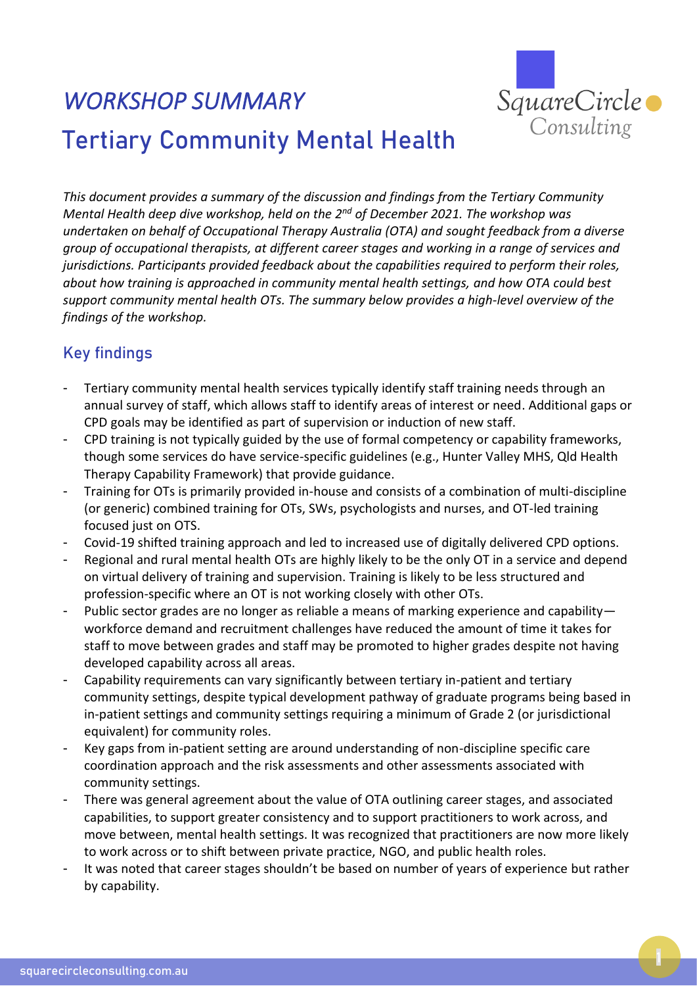

## *WORKSHOP SUMMARY*  Tertiary Community Mental Health

*This document provides a summary of the discussion and findings from the Tertiary Community Mental Health deep dive workshop, held on the 2<sup>nd</sup> of December 2021. The workshop was undertaken on behalf of Occupational Therapy Australia (OTA) and sought feedback from a diverse group of occupational therapists, at different career stages and working in a range of services and jurisdictions. Participants provided feedback about the capabilities required to perform their roles, about how training is approached in community mental health settings, and how OTA could best support community mental health OTs. The summary below provides a high-level overview of the findings of the workshop.*

## Key findings

- Tertiary community mental health services typically identify staff training needs through an annual survey of staff, which allows staff to identify areas of interest or need. Additional gaps or CPD goals may be identified as part of supervision or induction of new staff.
- CPD training is not typically guided by the use of formal competency or capability frameworks, though some services do have service-specific guidelines (e.g., Hunter Valley MHS, Qld Health Therapy Capability Framework) that provide guidance.
- Training for OTs is primarily provided in-house and consists of a combination of multi-discipline (or generic) combined training for OTs, SWs, psychologists and nurses, and OT-led training focused just on OTS.
- Covid-19 shifted training approach and led to increased use of digitally delivered CPD options.
- Regional and rural mental health OTs are highly likely to be the only OT in a service and depend on virtual delivery of training and supervision. Training is likely to be less structured and profession-specific where an OT is not working closely with other OTs.
- Public sector grades are no longer as reliable a means of marking experience and capability workforce demand and recruitment challenges have reduced the amount of time it takes for staff to move between grades and staff may be promoted to higher grades despite not having developed capability across all areas.
- Capability requirements can vary significantly between tertiary in-patient and tertiary community settings, despite typical development pathway of graduate programs being based in in-patient settings and community settings requiring a minimum of Grade 2 (or jurisdictional equivalent) for community roles.
- Key gaps from in-patient setting are around understanding of non-discipline specific care coordination approach and the risk assessments and other assessments associated with community settings.
- There was general agreement about the value of OTA outlining career stages, and associated capabilities, to support greater consistency and to support practitioners to work across, and move between, mental health settings. It was recognized that practitioners are now more likely to work across or to shift between private practice, NGO, and public health roles.
- It was noted that career stages shouldn't be based on number of years of experience but rather by capability.